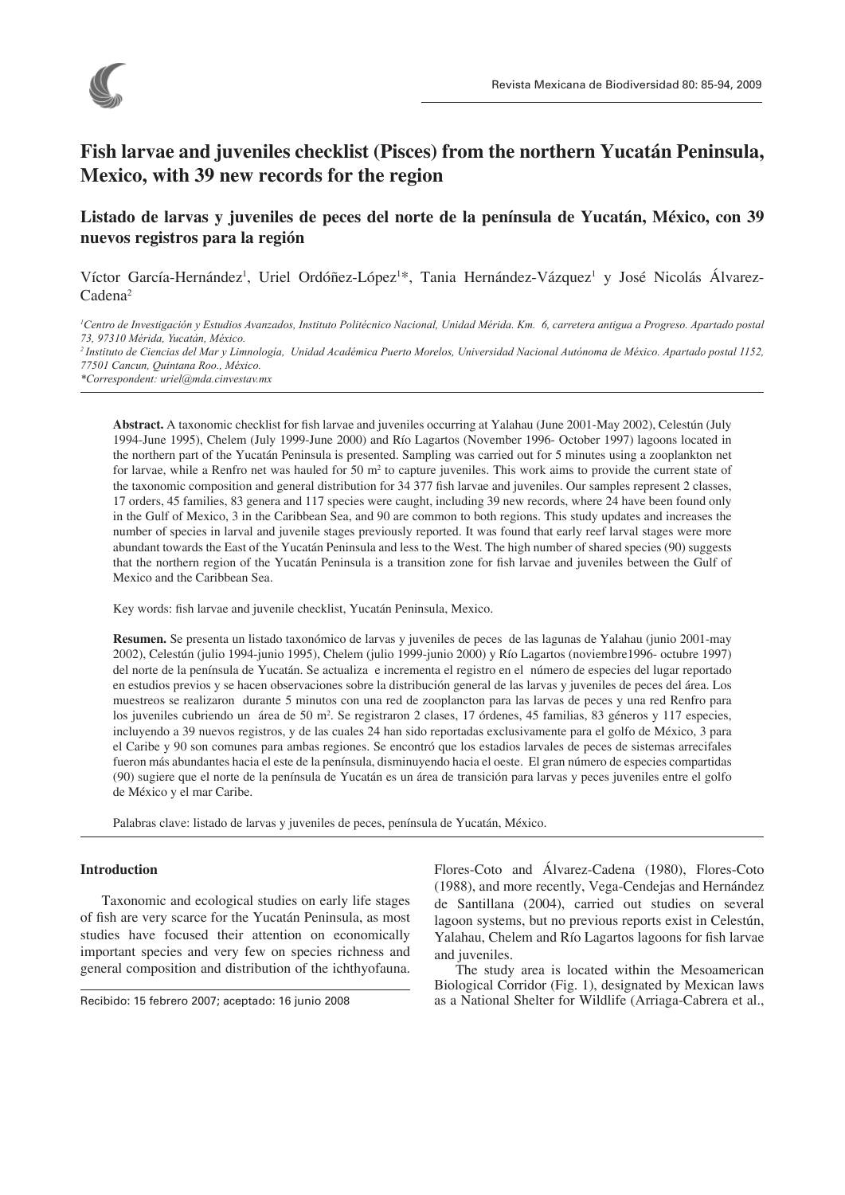

# **Fish larvae and juveniles checklist (Pisces) from the northern Yucatán Peninsula, Mexico, with 39 new records for the region**

# **Listado de larvas y juveniles de peces del norte de la península de Yucatán, México, con 39 nuevos registros para la región**

Víctor García-Hernández<sup>1</sup>, Uriel Ordóñez-López<sup>1\*</sup>, Tania Hernández-Vázquez<sup>1</sup> y José Nicolás Álvarez-Cadena2

*1 Centro de Investigación y Estudios Avanzados, Instituto Politécnico Nacional, Unidad Mérida. Km. 6, carretera antigua a Progreso. Apartado postal 73, 97310 Mérida, Yucatán, México. 2 Instituto de Ciencias del Mar y Limnología, Unidad Académica Puerto Morelos, Universidad Nacional Autónoma de México. Apartado postal 1152, 77501 Cancun, Quintana Roo., México.*

*\*Correspondent: uriel@mda.cinvestav.mx*

Abstract. A taxonomic checklist for fish larvae and juveniles occurring at Yalahau (June 2001-May 2002), Celestún (July 1994-June 1995), Chelem (July 1999-June 2000) and Río Lagartos (November 1996- October 1997) lagoons located in the northern part of the Yucatán Peninsula is presented. Sampling was carried out for 5 minutes using a zooplankton net for larvae, while a Renfro net was hauled for  $50 \text{ m}^2$  to capture juveniles. This work aims to provide the current state of the taxonomic composition and general distribution for 34 377 fish larvae and juveniles. Our samples represent 2 classes, 17 orders, 45 families, 83 genera and 117 species were caught, including 39 new records, where 24 have been found only in the Gulf of Mexico, 3 in the Caribbean Sea, and 90 are common to both regions. This study updates and increases the number of species in larval and juvenile stages previously reported. It was found that early reef larval stages were more abundant towards the East of the Yucatán Peninsula and less to the West. The high number of shared species (90) suggests that the northern region of the Yucatán Peninsula is a transition zone for fish larvae and juveniles between the Gulf of Mexico and the Caribbean Sea.

Key words: fish larvae and juvenile checklist, Yucatán Peninsula, Mexico.

**Resumen.** Se presenta un listado taxonómico de larvas y juveniles de peces de las lagunas de Yalahau (junio 2001-may 2002), Celestún (julio 1994-junio 1995), Chelem (julio 1999-junio 2000) y Río Lagartos (noviembre1996- octubre 1997) del norte de la península de Yucatán. Se actualiza e incrementa el registro en el número de especies del lugar reportado en estudios previos y se hacen observaciones sobre la distribución general de las larvas y juveniles de peces del área. Los muestreos se realizaron durante 5 minutos con una red de zooplancton para las larvas de peces y una red Renfro para los juveniles cubriendo un área de 50 m<sup>2</sup>. Se registraron 2 clases, 17 órdenes, 45 familias, 83 géneros y 117 especies, incluyendo a 39 nuevos registros, y de las cuales 24 han sido reportadas exclusivamente para el golfo de México, 3 para el Caribe y 90 son comunes para ambas regiones. Se encontró que los estadios larvales de peces de sistemas arrecifales fueron más abundantes hacia el este de la península, disminuyendo hacia el oeste. El gran número de especies compartidas (90) sugiere que el norte de la península de Yucatán es un área de transición para larvas y peces juveniles entre el golfo de México y el mar Caribe.

Palabras clave: listado de larvas y juveniles de peces, península de Yucatán, México.

## **Introduction**

Taxonomic and ecological studies on early life stages of fish are very scarce for the Yucatán Peninsula, as most studies have focused their attention on economically important species and very few on species richness and general composition and distribution of the ichthyofauna.

Flores-Coto and Álvarez-Cadena (1980), Flores-Coto (1988), and more recently, Vega-Cendejas and Hernández de Santillana (2004), carried out studies on several lagoon systems, but no previous reports exist in Celestún, Yalahau, Chelem and Río Lagartos lagoons for fish larvae and juveniles.

The study area is located within the Mesoamerican Biological Corridor (Fig. 1), designated by Mexican laws Recibido: 15 febrero 2007; aceptado: 16 junio 2008 as a National Shelter for Wildlife (Arriaga-Cabrera et al.,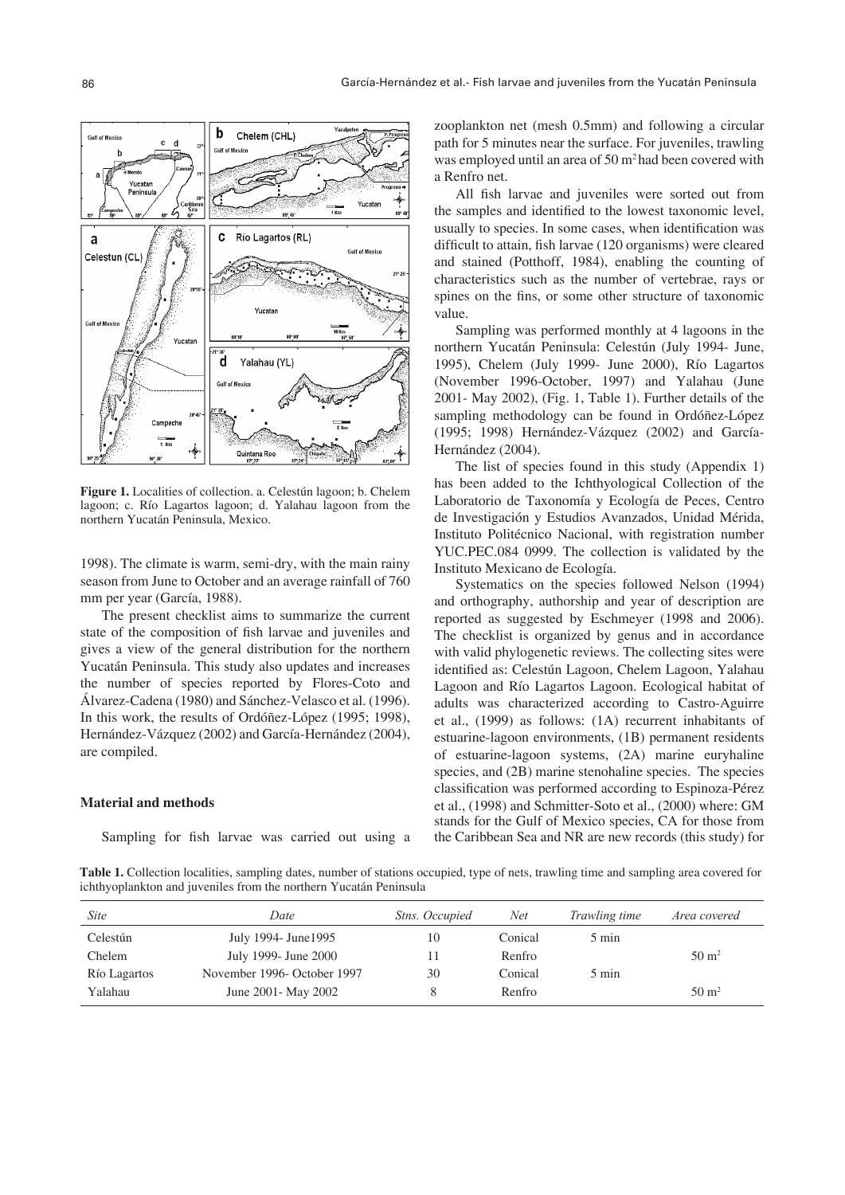**Figure 1.** Localities of collection. a. Celestún lagoon; b. Chelem lagoon; c. Río Lagartos lagoon; d. Yalahau lagoon from the northern Yucatán Peninsula, Mexico.

1998). The climate is warm, semi-dry, with the main rainy season from June to October and an average rainfall of 760 mm per year (García, 1988).

The present checklist aims to summarize the current state of the composition of fish larvae and juveniles and gives a view of the general distribution for the northern Yucatán Peninsula. This study also updates and increases the number of species reported by Flores-Coto and Álvarez-Cadena (1980) and Sánchez-Velasco et al. (1996). In this work, the results of Ordóñez-López (1995; 1998), Hernández-Vázquez (2002) and García-Hernández (2004), are compiled.

# **Material and methods**

Sampling for fish larvae was carried out using a

zooplankton net (mesh 0.5mm) and following a circular path for 5 minutes near the surface. For juveniles, trawling was employed until an area of 50 m<sup>2</sup> had been covered with a Renfro net.

All fish larvae and juveniles were sorted out from the samples and identified to the lowest taxonomic level, usually to species. In some cases, when identification was difficult to attain, fish larvae (120 organisms) were cleared and stained (Potthoff, 1984), enabling the counting of characteristics such as the number of vertebrae, rays or spines on the fins, or some other structure of taxonomic value.

Sampling was performed monthly at 4 lagoons in the northern Yucatán Peninsula: Celestún (July 1994- June, 1995), Chelem (July 1999- June 2000), Río Lagartos (November 1996-October, 1997) and Yalahau (June 2001- May 2002), (Fig. 1, Table 1). Further details of the sampling methodology can be found in Ordóñez-López (1995; 1998) Hernández-Vázquez (2002) and García-Hernández (2004).

The list of species found in this study (Appendix 1) has been added to the Ichthyological Collection of the Laboratorio de Taxonomía y Ecología de Peces, Centro de Investigación y Estudios Avanzados, Unidad Mérida, Instituto Politécnico Nacional, with registration number YUC.PEC.084 0999. The collection is validated by the Instituto Mexicano de Ecología.

Systematics on the species followed Nelson (1994) and orthography, authorship and year of description are reported as suggested by Eschmeyer (1998 and 2006). The checklist is organized by genus and in accordance with valid phylogenetic reviews. The collecting sites were identified as: Celestún Lagoon, Chelem Lagoon, Yalahau Lagoon and Río Lagartos Lagoon. Ecological habitat of adults was characterized according to Castro-Aguirre et al., (1999) as follows: (1A) recurrent inhabitants of estuarine-lagoon environments, (1B) permanent residents of estuarine-lagoon systems, (2A) marine euryhaline species, and (2B) marine stenohaline species. The species classification was performed according to Espinoza-Pérez et al., (1998) and Schmitter-Soto et al., (2000) where: GM stands for the Gulf of Mexico species, CA for those from the Caribbean Sea and NR are new records (this study) for

**Table 1.** Collection localities, sampling dates, number of stations occupied, type of nets, trawling time and sampling area covered for ichthyoplankton and juveniles from the northern Yucatán Peninsula

| <i>Site</i>  | Date                        | <i>Stns. Occupied</i> | Net     | <i>Trawling time</i> | Area covered     |
|--------------|-----------------------------|-----------------------|---------|----------------------|------------------|
| Celestún     | July 1994- June 1995        | 10                    | Conical | 5 min                |                  |
| Chelem       | July 1999- June 2000        |                       | Renfro  |                      | $50 \text{ m}^2$ |
| Río Lagartos | November 1996- October 1997 | 30                    | Conical | 5 min                |                  |
| Yalahau      | June 2001 - May 2002        |                       | Renfro  |                      | $50 \text{ m}^2$ |

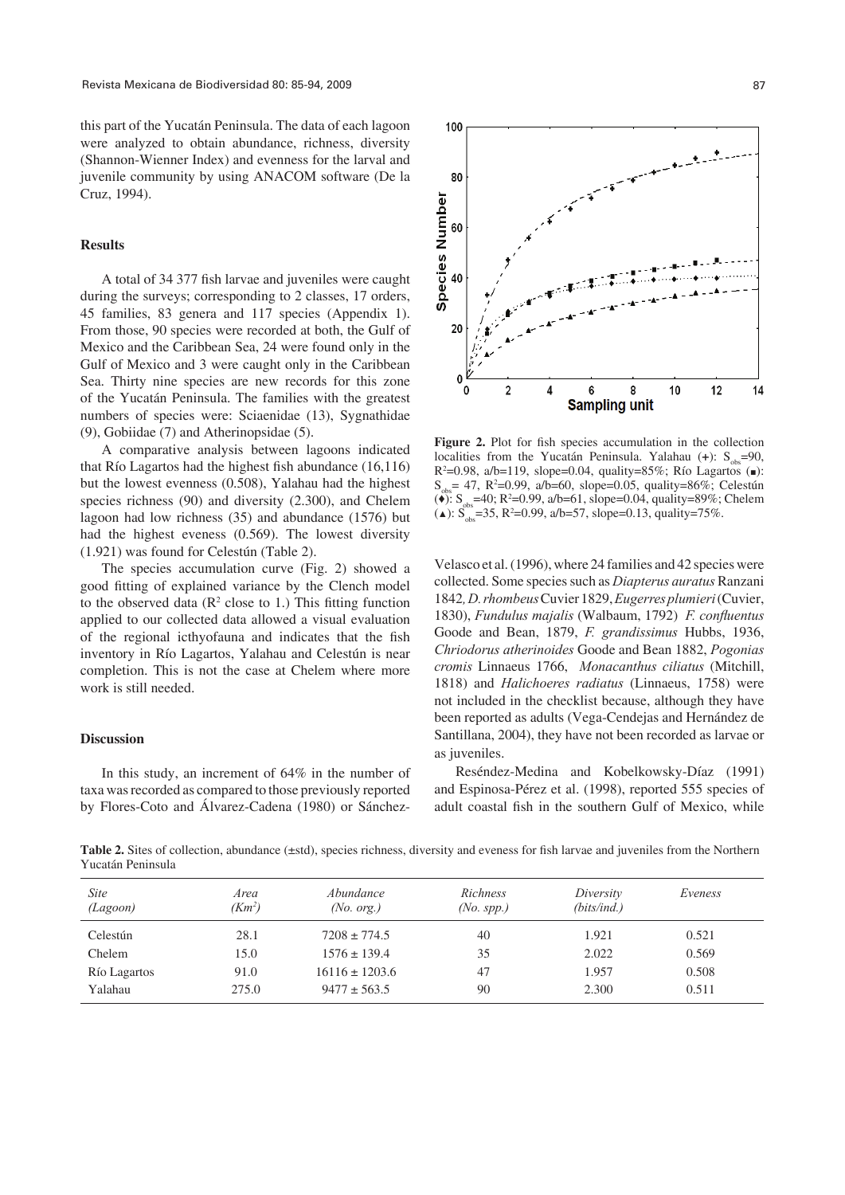this part of the Yucatán Peninsula. The data of each lagoon were analyzed to obtain abundance, richness, diversity (Shannon-Wienner Index) and evenness for the larval and juvenile community by using ANACOM software (De la Cruz, 1994).

#### **Results**

A total of 34 377 fish larvae and juveniles were caught during the surveys; corresponding to 2 classes, 17 orders, 45 families, 83 genera and 117 species (Appendix 1). From those, 90 species were recorded at both, the Gulf of Mexico and the Caribbean Sea, 24 were found only in the Gulf of Mexico and 3 were caught only in the Caribbean Sea. Thirty nine species are new records for this zone of the Yucatán Peninsula. The families with the greatest numbers of species were: Sciaenidae (13), Sygnathidae (9), Gobiidae (7) and Atherinopsidae (5).

A comparative analysis between lagoons indicated that Río Lagartos had the highest fish abundance  $(16,116)$ but the lowest evenness (0.508), Yalahau had the highest species richness (90) and diversity (2.300), and Chelem lagoon had low richness (35) and abundance (1576) but had the highest eveness (0.569). The lowest diversity (1.921) was found for Celestún (Table 2).

The species accumulation curve (Fig. 2) showed a good fitting of explained variance by the Clench model to the observed data ( $\mathbb{R}^2$  close to 1.) This fitting function applied to our collected data allowed a visual evaluation of the regional icthyofauna and indicates that the fish inventory in Río Lagartos, Yalahau and Celestún is near completion. This is not the case at Chelem where more work is still needed.

### **Discussion**

In this study, an increment of 64% in the number of taxa was recorded as compared to those previously reported by Flores-Coto and Álvarez-Cadena (1980) or Sánchez-



Figure 2. Plot for fish species accumulation in the collection localities from the Yucatán Peninsula. Yalahau  $(+)$ : S<sub>obs</sub>=90, R2 =0.98, a/b=119, slope=0.04, quality=85%; Río Lagartos (*■*):  $S_{obs}$  = 47, R<sup>2</sup>=0.99, a/b=60, slope=0.05, quality=86%; Celestún (<sup>◆</sup>): S<sub>obs</sub>=40; R<sup>2</sup>=0.99, a/b=61, slope=0.04, quality=89%; Chelem  $(\triangle)$ : S<sub>obs</sub>=35, R<sup>2</sup>=0.99, a/b=57, slope=0.13, quality=75%.

Velasco et al. (1996), where 24 families and 42 species were collected. Some species such as *Diapterus auratus* Ranzani 1842*,D. rhombeus* Cuvier 1829, *Eugerres plumieri* (Cuvier, 1830), *Fundulus majalis* (Walbaum, 1792) *F. confluentus* Goode and Bean, 1879, *F. grandissimus* Hubbs, 1936, *Chriodorus atherinoides* Goode and Bean 1882, *Pogonias cromis* Linnaeus 1766, *Monacanthus ciliatus* (Mitchill, 1818) and *Halichoeres radiatus* (Linnaeus, 1758) were not included in the checklist because, although they have been reported as adults (Vega-Cendejas and Hernández de Santillana, 2004), they have not been recorded as larvae or as juveniles.

Reséndez-Medina and Kobelkowsky-Díaz (1991) and Espinosa-Pérez et al. (1998), reported 555 species of adult coastal fish in the southern Gulf of Mexico, while

Table 2. Sites of collection, abundance (±std), species richness, diversity and eveness for fish larvae and juveniles from the Northern Yucatán Peninsula

| Site<br>(Lagoon) | Area<br>(Km <sup>2</sup> ) | Abundance<br>(No. org.) | Richness<br>$(No.$ spp.) | Diversity<br>(bits/ind.) | Eveness |
|------------------|----------------------------|-------------------------|--------------------------|--------------------------|---------|
| Celestún         | 28.1                       | $7208 \pm 774.5$        | 40                       | 1.921                    | 0.521   |
| Chelem           | 15.0                       | $1576 \pm 139.4$        | 35                       | 2.022                    | 0.569   |
| Río Lagartos     | 91.0                       | $16116 \pm 1203.6$      | 47                       | 1.957                    | 0.508   |
| Yalahau          | 275.0                      | $9477 \pm 563.5$        | 90                       | 2.300                    | 0.511   |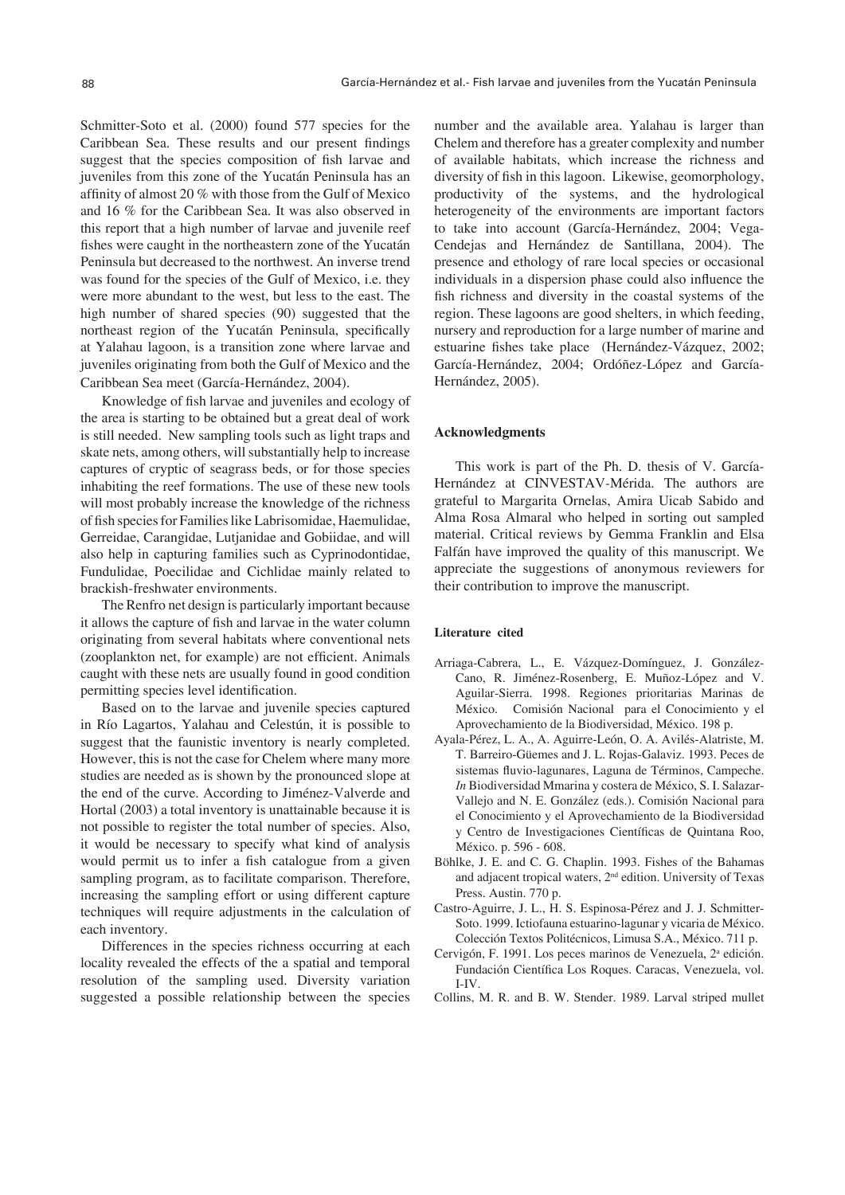Schmitter-Soto et al. (2000) found 577 species for the Caribbean Sea. These results and our present findings suggest that the species composition of fish larvae and juveniles from this zone of the Yucatán Peninsula has an affinity of almost 20 % with those from the Gulf of Mexico and 16 % for the Caribbean Sea. It was also observed in this report that a high number of larvae and juvenile reef fishes were caught in the northeastern zone of the Yucatán Peninsula but decreased to the northwest. An inverse trend was found for the species of the Gulf of Mexico, i.e. they were more abundant to the west, but less to the east. The high number of shared species (90) suggested that the northeast region of the Yucatán Peninsula, specifically at Yalahau lagoon, is a transition zone where larvae and juveniles originating from both the Gulf of Mexico and the Caribbean Sea meet (García-Hernández, 2004).

Knowledge of fish larvae and juveniles and ecology of the area is starting to be obtained but a great deal of work is still needed. New sampling tools such as light traps and skate nets, among others, will substantially help to increase captures of cryptic of seagrass beds, or for those species inhabiting the reef formations. The use of these new tools will most probably increase the knowledge of the richness of fish species for Families like Labrisomidae, Haemulidae, Gerreidae, Carangidae, Lutjanidae and Gobiidae, and will also help in capturing families such as Cyprinodontidae, Fundulidae, Poecilidae and Cichlidae mainly related to brackish-freshwater environments.

The Renfro net design is particularly important because it allows the capture of fish and larvae in the water column originating from several habitats where conventional nets (zooplankton net, for example) are not efficient. Animals caught with these nets are usually found in good condition permitting species level identification.

Based on to the larvae and juvenile species captured in Río Lagartos, Yalahau and Celestún, it is possible to suggest that the faunistic inventory is nearly completed. However, this is not the case for Chelem where many more studies are needed as is shown by the pronounced slope at the end of the curve. According to Jiménez-Valverde and Hortal (2003) a total inventory is unattainable because it is not possible to register the total number of species. Also, it would be necessary to specify what kind of analysis would permit us to infer a fish catalogue from a given sampling program, as to facilitate comparison. Therefore, increasing the sampling effort or using different capture techniques will require adjustments in the calculation of each inventory.

Differences in the species richness occurring at each locality revealed the effects of the a spatial and temporal resolution of the sampling used. Diversity variation suggested a possible relationship between the species number and the available area. Yalahau is larger than Chelem and therefore has a greater complexity and number of available habitats, which increase the richness and diversity of fish in this lagoon. Likewise, geomorphology, productivity of the systems, and the hydrological heterogeneity of the environments are important factors to take into account (García-Hernández, 2004; Vega-Cendejas and Hernández de Santillana, 2004). The presence and ethology of rare local species or occasional individuals in a dispersion phase could also influence the fish richness and diversity in the coastal systems of the region. These lagoons are good shelters, in which feeding, nursery and reproduction for a large number of marine and estuarine fishes take place (Hernández-Vázquez, 2002; García-Hernández, 2004; Ordóñez-López and García-Hernández, 2005).

#### **Acknowledgments**

This work is part of the Ph. D. thesis of V. García-Hernández at CINVESTAV-Mérida. The authors are grateful to Margarita Ornelas, Amira Uicab Sabido and Alma Rosa Almaral who helped in sorting out sampled material. Critical reviews by Gemma Franklin and Elsa Falfán have improved the quality of this manuscript. We appreciate the suggestions of anonymous reviewers for their contribution to improve the manuscript.

#### **Literature cited**

- Arriaga-Cabrera, L., E. Vázquez-Domínguez, J. González-Cano, R. Jiménez-Rosenberg, E. Muñoz-López and V. Aguilar-Sierra. 1998. Regiones prioritarias Marinas de México. Comisión Nacional para el Conocimiento y el Aprovechamiento de la Biodiversidad, México. 198 p.
- Ayala-Pérez, L. A., A. Aguirre-León, O. A. Avilés-Alatriste, M. T. Barreiro-Güemes and J. L. Rojas-Galaviz. 1993. Peces de sistemas fluvio-lagunares, Laguna de Términos, Campeche. *In* Biodiversidad Mmarina y costera de México, S. I. Salazar-Vallejo and N. E. González (eds.). Comisión Nacional para el Conocimiento y el Aprovechamiento de la Biodiversidad y Centro de Investigaciones Científicas de Quintana Roo, México. p. 596 - 608.
- Böhlke, J. E. and C. G. Chaplin. 1993. Fishes of the Bahamas and adjacent tropical waters, 2nd edition. University of Texas Press. Austin. 770 p.
- Castro-Aguirre, J. L., H. S. Espinosa-Pérez and J. J. Schmitter-Soto. 1999. Ictiofauna estuarino-lagunar y vicaria de México. Colección Textos Politécnicos, Limusa S.A., México. 711 p.
- Cervigón, F. 1991. Los peces marinos de Venezuela, 2ª edición. Fundación Científica Los Roques. Caracas, Venezuela, vol. I-IV.
- Collins, M. R. and B. W. Stender. 1989. Larval striped mullet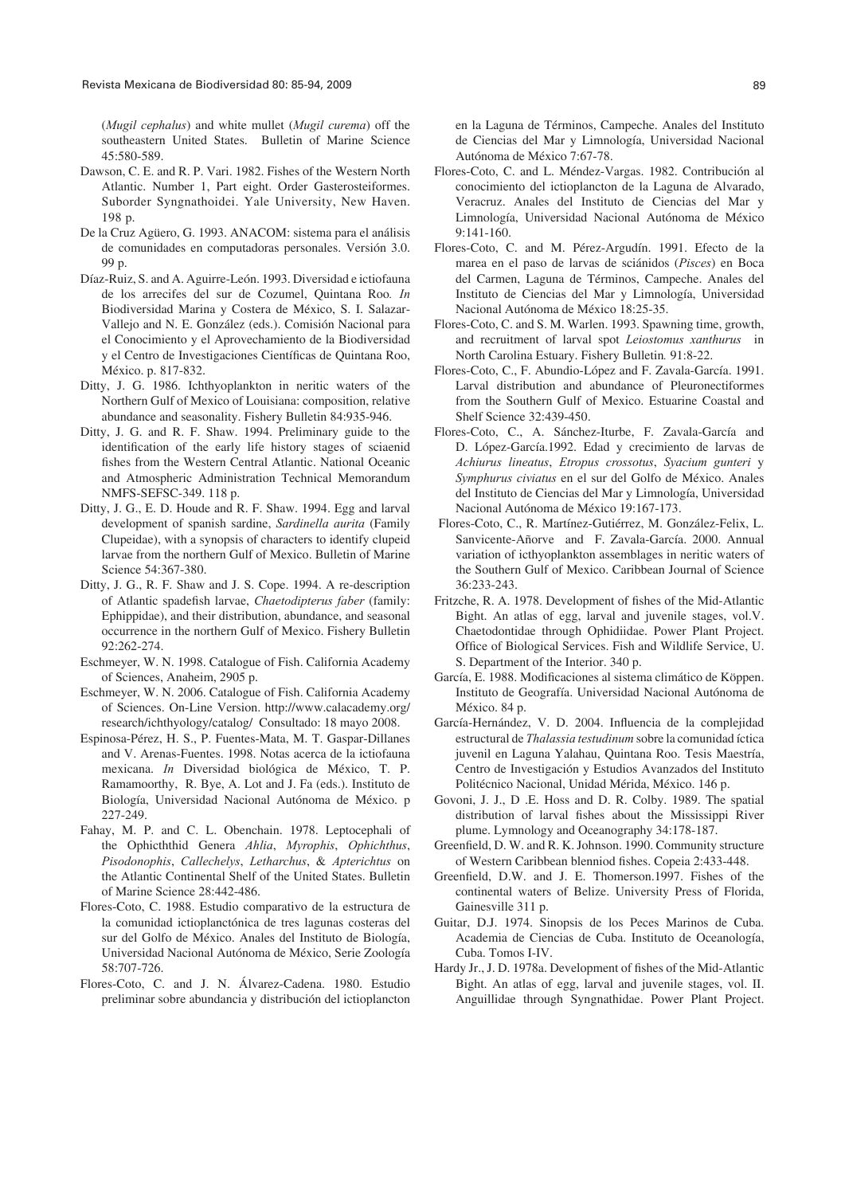(*Mugil cephalus*) and white mullet (*Mugil curema*) off the southeastern United States. Bulletin of Marine Science 45:580-589.

- Dawson, C. E. and R. P. Vari. 1982. Fishes of the Western North Atlantic. Number 1, Part eight. Order Gasterosteiformes. Suborder Syngnathoidei. Yale University, New Haven. 198 p.
- De la Cruz Agüero, G. 1993. ANACOM: sistema para el análisis de comunidades en computadoras personales. Versión 3.0. 99 p.
- Díaz-Ruiz, S. and A. Aguirre-León. 1993. Diversidad e ictiofauna de los arrecifes del sur de Cozumel, Quintana Roo*. In* Biodiversidad Marina y Costera de México, S. I. Salazar-Vallejo and N. E. González (eds.). Comisión Nacional para el Conocimiento y el Aprovechamiento de la Biodiversidad y el Centro de Investigaciones Científicas de Quintana Roo, México. p. 817-832.
- Ditty, J. G. 1986. Ichthyoplankton in neritic waters of the Northern Gulf of Mexico of Louisiana: composition, relative abundance and seasonality. Fishery Bulletin 84:935-946.
- Ditty, J. G. and R. F. Shaw. 1994. Preliminary guide to the identification of the early life history stages of sciaenid fishes from the Western Central Atlantic. National Oceanic and Atmospheric Administration Technical Memorandum NMFS-SEFSC-349. 118 p.
- Ditty, J. G., E. D. Houde and R. F. Shaw. 1994. Egg and larval development of spanish sardine, *Sardinella aurita* (Family Clupeidae), with a synopsis of characters to identify clupeid larvae from the northern Gulf of Mexico. Bulletin of Marine Science 54:367-380.
- Ditty, J. G., R. F. Shaw and J. S. Cope. 1994. A re-description of Atlantic spadefish larvae, *Chaetodipterus faber* (family: Ephippidae), and their distribution, abundance, and seasonal occurrence in the northern Gulf of Mexico. Fishery Bulletin 92:262-274.
- Eschmeyer, W. N. 1998. Catalogue of Fish. California Academy of Sciences, Anaheim, 2905 p.
- Eschmeyer, W. N. 2006. Catalogue of Fish. California Academy of Sciences. On-Line Version. http://www.calacademy.org/ research/ichthyology/catalog/ Consultado: 18 mayo 2008.
- Espinosa-Pérez, H. S., P. Fuentes-Mata, M. T. Gaspar-Dillanes and V. Arenas-Fuentes. 1998. Notas acerca de la ictiofauna mexicana. *In* Diversidad biológica de México, T. P. Ramamoorthy, R. Bye, A. Lot and J. Fa (eds.). Instituto de Biología, Universidad Nacional Autónoma de México. p 227-249.
- Fahay, M. P. and C. L. Obenchain. 1978. Leptocephali of the Ophicththid Genera *Ahlia*, *Myrophis*, *Ophichthus*, *Pisodonophis*, *Callechelys*, *Letharchus*, & *Apterichtus* on the Atlantic Continental Shelf of the United States. Bulletin of Marine Science 28:442-486.
- Flores-Coto, C. 1988. Estudio comparativo de la estructura de la comunidad ictioplanctónica de tres lagunas costeras del sur del Golfo de México. Anales del Instituto de Biología, Universidad Nacional Autónoma de México, Serie Zoología 58:707-726.
- Flores-Coto, C. and J. N. Álvarez-Cadena. 1980. Estudio preliminar sobre abundancia y distribución del ictioplancton

en la Laguna de Términos, Campeche. Anales del Instituto de Ciencias del Mar y Limnología, Universidad Nacional Autónoma de México 7:67-78.

- Flores-Coto, C. and L. Méndez-Vargas. 1982. Contribución al conocimiento del ictioplancton de la Laguna de Alvarado, Veracruz. Anales del Instituto de Ciencias del Mar y Limnología, Universidad Nacional Autónoma de México 9:141-160.
- Flores-Coto, C. and M. Pérez-Argudín. 1991. Efecto de la marea en el paso de larvas de sciánidos (*Pisces*) en Boca del Carmen, Laguna de Términos, Campeche. Anales del Instituto de Ciencias del Mar y Limnología, Universidad Nacional Autónoma de México 18:25-35.
- Flores-Coto, C. and S. M. Warlen. 1993. Spawning time, growth, and recruitment of larval spot *Leiostomus xanthurus* in North Carolina Estuary. Fishery Bulletin*.* 91:8-22.
- Flores-Coto, C., F. Abundio-López and F. Zavala-García. 1991. Larval distribution and abundance of Pleuronectiformes from the Southern Gulf of Mexico. Estuarine Coastal and Shelf Science 32:439-450.
- Flores-Coto, C., A. Sánchez-Iturbe, F. Zavala-García and D. López-García.1992. Edad y crecimiento de larvas de *Achiurus lineatus*, *Etropus crossotus*, *Syacium gunteri* y *Symphurus civiatus* en el sur del Golfo de México. Anales del Instituto de Ciencias del Mar y Limnología, Universidad Nacional Autónoma de México 19:167-173.
- Flores-Coto, C., R. Martínez-Gutiérrez, M. González-Felix, L. Sanvicente-Añorve and F. Zavala-García. 2000. Annual variation of icthyoplankton assemblages in neritic waters of the Southern Gulf of Mexico. Caribbean Journal of Science 36:233-243.
- Fritzche, R. A. 1978. Development of fishes of the Mid-Atlantic Bight. An atlas of egg, larval and juvenile stages, vol.V. Chaetodontidae through Ophidiidae. Power Plant Project. Office of Biological Services. Fish and Wildlife Service, U. S. Department of the Interior. 340 p.
- García, E. 1988. Modificaciones al sistema climático de Köppen. Instituto de Geografía. Universidad Nacional Autónoma de México. 84 p.
- García-Hernández, V. D. 2004. Influencia de la complejidad estructural de *Thalassia testudinum* sobre la comunidad íctica juvenil en Laguna Yalahau, Quintana Roo. Tesis Maestría, Centro de Investigación y Estudios Avanzados del Instituto Politécnico Nacional, Unidad Mérida, México. 146 p.
- Govoni, J. J., D .E. Hoss and D. R. Colby. 1989. The spatial distribution of larval fishes about the Mississippi River plume. Lymnology and Oceanography 34:178-187.
- Greenfield, D. W. and R. K. Johnson. 1990. Community structure of Western Caribbean blenniod fishes. Copeia 2:433-448.
- Greenfield, D.W. and J. E. Thomerson.1997. Fishes of the continental waters of Belize. University Press of Florida, Gainesville 311 p.
- Guitar, D.J. 1974. Sinopsis de los Peces Marinos de Cuba. Academia de Ciencias de Cuba. Instituto de Oceanología, Cuba. Tomos I-IV.
- Hardy Jr., J. D. 1978a. Development of fishes of the Mid-Atlantic Bight. An atlas of egg, larval and juvenile stages, vol. II. Anguillidae through Syngnathidae. Power Plant Project.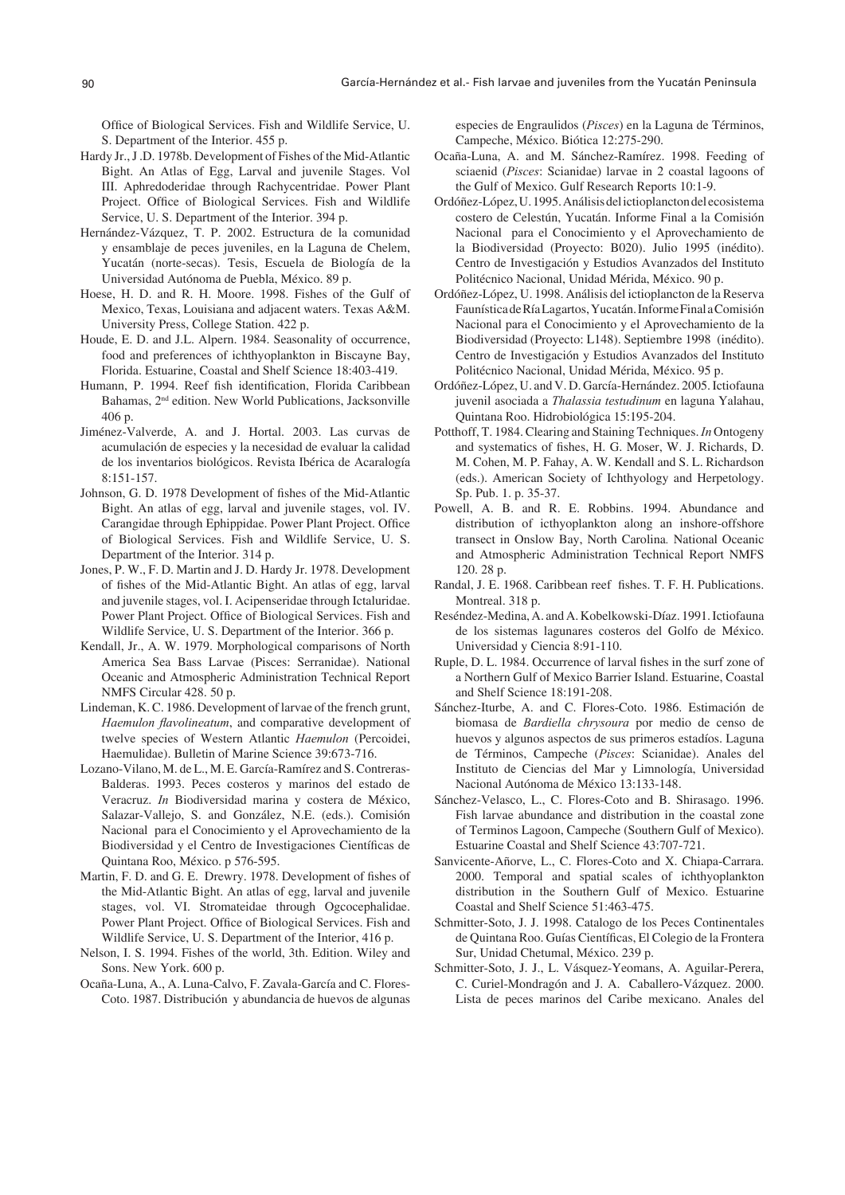Office of Biological Services. Fish and Wildlife Service, U. S. Department of the Interior. 455 p.

- Hardy Jr., J .D. 1978b. Development of Fishes of the Mid-Atlantic Bight. An Atlas of Egg, Larval and juvenile Stages. Vol III. Aphredoderidae through Rachycentridae. Power Plant Project. Office of Biological Services. Fish and Wildlife Service, U. S. Department of the Interior. 394 p.
- Hernández-Vázquez, T. P. 2002. Estructura de la comunidad y ensamblaje de peces juveniles, en la Laguna de Chelem, Yucatán (norte-secas). Tesis, Escuela de Biología de la Universidad Autónoma de Puebla, México. 89 p.
- Hoese, H. D. and R. H. Moore. 1998. Fishes of the Gulf of Mexico, Texas, Louisiana and adjacent waters. Texas A&M. University Press, College Station. 422 p.
- Houde, E. D. and J.L. Alpern. 1984. Seasonality of occurrence, food and preferences of ichthyoplankton in Biscayne Bay, Florida. Estuarine, Coastal and Shelf Science 18:403-419.
- Humann, P. 1994. Reef fish identification, Florida Caribbean Bahamas, 2nd edition. New World Publications, Jacksonville 406 p.
- Jiménez-Valverde, A. and J. Hortal. 2003. Las curvas de acumulación de especies y la necesidad de evaluar la calidad de los inventarios biológicos. Revista Ibérica de Acaralogía  $8:151-157$
- Johnson, G. D. 1978 Development of fishes of the Mid-Atlantic Bight. An atlas of egg, larval and juvenile stages, vol. IV. Carangidae through Ephippidae. Power Plant Project. Office of Biological Services. Fish and Wildlife Service, U. S. Department of the Interior. 314 p.
- Jones, P. W., F. D. Martin and J. D. Hardy Jr. 1978. Development of fishes of the Mid-Atlantic Bight. An atlas of egg, larval and juvenile stages, vol. I. Acipenseridae through Ictaluridae. Power Plant Project. Office of Biological Services. Fish and Wildlife Service, U. S. Department of the Interior. 366 p.
- Kendall, Jr., A. W. 1979. Morphological comparisons of North America Sea Bass Larvae (Pisces: Serranidae). National Oceanic and Atmospheric Administration Technical Report NMFS Circular 428. 50 p.
- Lindeman, K. C. 1986. Development of larvae of the french grunt, *Haemulon flavolineatum*, and comparative development of twelve species of Western Atlantic *Haemulon* (Percoidei, Haemulidae). Bulletin of Marine Science 39:673-716.
- Lozano-Vilano, M. de L., M. E. García-Ramírez and S. Contreras-Balderas. 1993. Peces costeros y marinos del estado de Veracruz. *In* Biodiversidad marina y costera de México, Salazar-Vallejo, S. and González, N.E. (eds.). Comisión Nacional para el Conocimiento y el Aprovechamiento de la Biodiversidad y el Centro de Investigaciones Científicas de Quintana Roo, México. p 576-595.
- Martin, F. D. and G. E. Drewry. 1978. Development of fishes of the Mid-Atlantic Bight. An atlas of egg, larval and juvenile stages, vol. VI. Stromateidae through Ogcocephalidae. Power Plant Project. Office of Biological Services. Fish and Wildlife Service, U. S. Department of the Interior, 416 p.
- Nelson, I. S. 1994. Fishes of the world, 3th. Edition. Wiley and Sons. New York. 600 p.
- Ocaña-Luna, A., A. Luna-Calvo, F. Zavala-García and C. Flores-Coto. 1987. Distribución y abundancia de huevos de algunas

especies de Engraulidos (*Pisces*) en la Laguna de Términos, Campeche, México. Biótica 12:275-290.

- Ocaña-Luna, A. and M. Sánchez-Ramírez. 1998. Feeding of sciaenid (*Pisces*: Scianidae) larvae in 2 coastal lagoons of the Gulf of Mexico. Gulf Research Reports 10:1-9.
- Ordóñez-López, U. 1995. Análisis del ictioplancton del ecosistema costero de Celestún, Yucatán. Informe Final a la Comisión Nacional para el Conocimiento y el Aprovechamiento de la Biodiversidad (Proyecto: B020). Julio 1995 (inédito). Centro de Investigación y Estudios Avanzados del Instituto Politécnico Nacional, Unidad Mérida, México. 90 p.
- Ordóñez-López, U. 1998. Análisis del ictioplancton de la Reserva Faunística de Ría Lagartos, Yucatán. Informe Final a Comisión Nacional para el Conocimiento y el Aprovechamiento de la Biodiversidad (Proyecto: L148). Septiembre 1998 (inédito). Centro de Investigación y Estudios Avanzados del Instituto Politécnico Nacional, Unidad Mérida, México. 95 p.
- Ordóñez-López, U. and V. D. García-Hernández. 2005. Ictiofauna juvenil asociada a *Thalassia testudinum* en laguna Yalahau, Quintana Roo. Hidrobiológica 15:195-204.
- Potthoff, T. 1984. Clearing and Staining Techniques. *In* Ontogeny and systematics of fishes, H. G. Moser, W. J. Richards, D. M. Cohen, M. P. Fahay, A. W. Kendall and S. L. Richardson (eds.). American Society of Ichthyology and Herpetology. Sp. Pub. 1. p. 35-37.
- Powell, A. B. and R. E. Robbins. 1994. Abundance and distribution of icthyoplankton along an inshore-offshore transect in Onslow Bay, North Carolina*.* National Oceanic and Atmospheric Administration Technical Report NMFS 120. 28 p.
- Randal, J. E. 1968. Caribbean reef fishes. T. F. H. Publications. Montreal. 318 p.
- Reséndez-Medina, A. and A. Kobelkowski-Díaz. 1991. Ictiofauna de los sistemas lagunares costeros del Golfo de México. Universidad y Ciencia 8:91-110.
- Ruple, D. L. 1984. Occurrence of larval fishes in the surf zone of a Northern Gulf of Mexico Barrier Island. Estuarine, Coastal and Shelf Science 18:191-208.
- Sánchez-Iturbe, A. and C. Flores-Coto. 1986. Estimación de biomasa de *Bardiella chrysoura* por medio de censo de huevos y algunos aspectos de sus primeros estadíos. Laguna de Términos, Campeche (*Pisces*: Scianidae). Anales del Instituto de Ciencias del Mar y Limnología, Universidad Nacional Autónoma de México 13:133-148.
- Sánchez-Velasco, L., C. Flores-Coto and B. Shirasago. 1996. Fish larvae abundance and distribution in the coastal zone of Terminos Lagoon, Campeche (Southern Gulf of Mexico). Estuarine Coastal and Shelf Science 43:707-721.
- Sanvicente-Añorve, L., C. Flores-Coto and X. Chiapa-Carrara. 2000. Temporal and spatial scales of ichthyoplankton distribution in the Southern Gulf of Mexico. Estuarine Coastal and Shelf Science 51:463-475.
- Schmitter-Soto, J. J. 1998. Catalogo de los Peces Continentales de Quintana Roo. Guías Científicas, El Colegio de la Frontera Sur, Unidad Chetumal, México. 239 p.
- Schmitter-Soto, J. J., L. Vásquez-Yeomans, A. Aguilar-Perera, C. Curiel-Mondragón and J. A. Caballero-Vázquez. 2000. Lista de peces marinos del Caribe mexicano. Anales del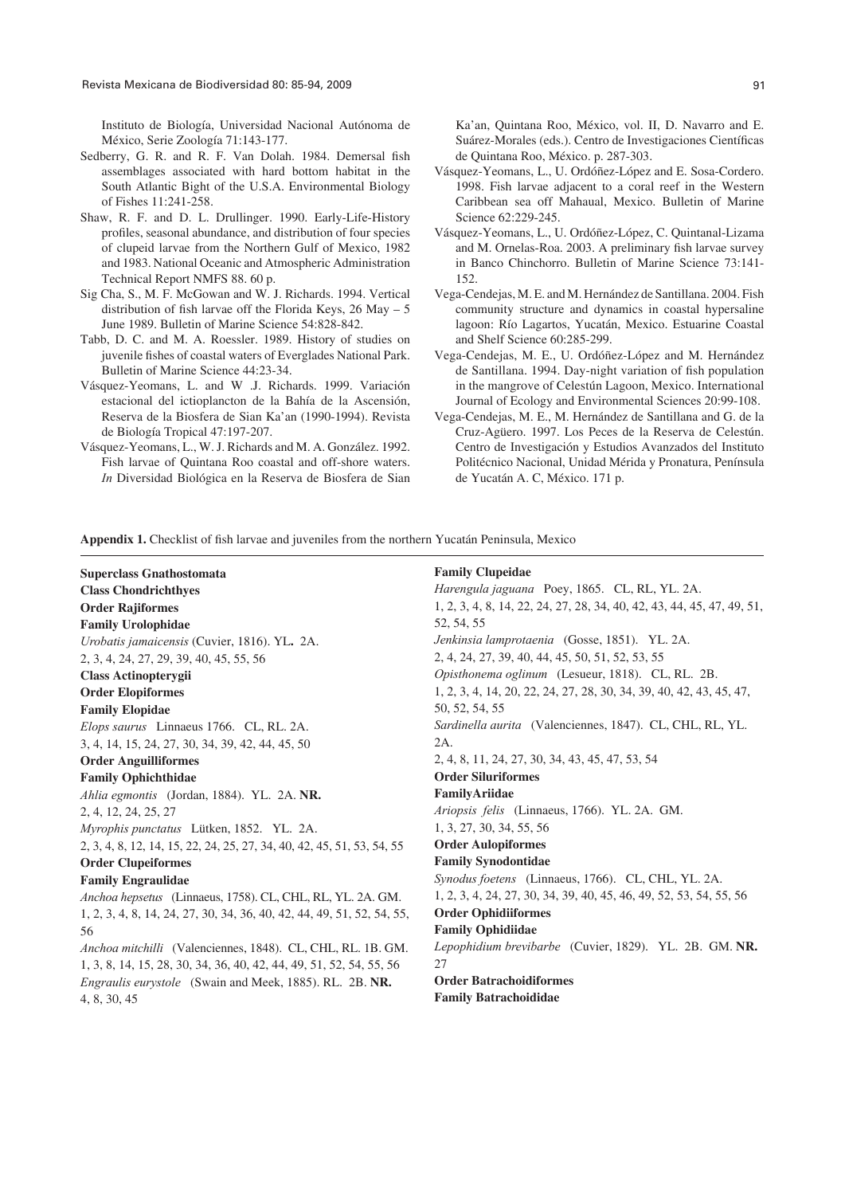Instituto de Biología, Universidad Nacional Autónoma de México, Serie Zoología 71:143-177.

- Sedberry, G. R. and R. F. Van Dolah. 1984. Demersal fish assemblages associated with hard bottom habitat in the South Atlantic Bight of the U.S.A. Environmental Biology of Fishes 11:241-258.
- Shaw, R. F. and D. L. Drullinger. 1990. Early-Life-History profiles, seasonal abundance, and distribution of four species of clupeid larvae from the Northern Gulf of Mexico, 1982 and 1983. National Oceanic and Atmospheric Administration Technical Report NMFS 88. 60 p.
- Sig Cha, S., M. F. McGowan and W. J. Richards. 1994. Vertical distribution of fish larvae off the Florida Keys,  $26$  May – 5 June 1989. Bulletin of Marine Science 54:828-842.
- Tabb, D. C. and M. A. Roessler. 1989. History of studies on juvenile fishes of coastal waters of Everglades National Park. Bulletin of Marine Science 44:23-34.
- Vásquez-Yeomans, L. and W .J. Richards. 1999. Variación estacional del ictioplancton de la Bahía de la Ascensión, Reserva de la Biosfera de Sian Ka'an (1990-1994). Revista de Biología Tropical 47:197-207.
- Vásquez-Yeomans, L., W. J. Richards and M. A. González. 1992. Fish larvae of Quintana Roo coastal and off-shore waters. *In* Diversidad Biológica en la Reserva de Biosfera de Sian

Ka'an, Quintana Roo, México, vol. II, D. Navarro and E. Suárez-Morales (eds.). Centro de Investigaciones Científicas de Quintana Roo, México. p. 287-303.

- Vásquez-Yeomans, L., U. Ordóñez-López and E. Sosa-Cordero. 1998. Fish larvae adjacent to a coral reef in the Western Caribbean sea off Mahaual, Mexico. Bulletin of Marine Science 62:229-245.
- Vásquez-Yeomans, L., U. Ordóñez-López, C. Quintanal-Lizama and M. Ornelas-Roa. 2003. A preliminary fish larvae survey in Banco Chinchorro. Bulletin of Marine Science 73:141- 152.
- Vega-Cendejas, M. E. and M. Hernández de Santillana. 2004. Fish community structure and dynamics in coastal hypersaline lagoon: Río Lagartos, Yucatán, Mexico. Estuarine Coastal and Shelf Science 60:285-299.
- Vega-Cendejas, M. E., U. Ordóñez-López and M. Hernández de Santillana. 1994. Day-night variation of fish population in the mangrove of Celestún Lagoon, Mexico. International Journal of Ecology and Environmental Sciences 20:99-108.
- Vega-Cendejas, M. E., M. Hernández de Santillana and G. de la Cruz-Agüero. 1997. Los Peces de la Reserva de Celestún. Centro de Investigación y Estudios Avanzados del Instituto Politécnico Nacional, Unidad Mérida y Pronatura, Península de Yucatán A. C, México. 171 p.

Appendix 1. Checklist of fish larvae and juveniles from the northern Yucatán Peninsula, Mexico

**Superclass Gnathostomata Class Chondrichthyes Order Rajiformes Family Urolophidae** *Urobatis jamaicensis* (Cuvier, 1816). YL**.** 2A. 2, 3, 4, 24, 27, 29, 39, 40, 45, 55, 56 **Class Actinopterygii Order Elopiformes Family Elopidae** *Elops saurus* Linnaeus 1766. CL, RL. 2A. 3, 4, 14, 15, 24, 27, 30, 34, 39, 42, 44, 45, 50 **Order Anguilliformes Family Ophichthidae** *Ahlia egmontis* (Jordan, 1884). YL.2A. **NR.**  2, 4, 12, 24, 25, 27 *Myrophis punctatus* Lütken, 1852. YL.2A. 2, 3, 4, 8, 12, 14, 15, 22, 24, 25, 27, 34, 40, 42, 45, 51, 53, 54, 55 **Order Clupeiformes Family Engraulidae** *Anchoa hepsetus* (Linnaeus, 1758). CL, CHL, RL, YL. 2A. GM. 1, 2, 3, 4, 8, 14, 24, 27, 30, 34, 36, 40, 42, 44, 49, 51, 52, 54, 55, 56 *Anchoa mitchilli* (Valenciennes, 1848). CL, CHL, RL. 1B. GM. 1, 3, 8, 14, 15, 28, 30, 34, 36, 40, 42, 44, 49, 51, 52, 54, 55, 56 *Engraulis eurystole* (Swain and Meek, 1885). RL. 2B. **NR.** 4, 8, 30, 45 2A. 27

#### **Family Clupeidae**

*Harengula jaguana* Poey, 1865. CL, RL, YL. 2A. 1, 2, 3, 4, 8, 14, 22, 24, 27, 28, 34, 40, 42, 43, 44, 45, 47, 49, 51, 52, 54, 55 *Jenkinsia lamprotaenia* (Gosse, 1851). YL. 2A. 2, 4, 24, 27, 39, 40, 44, 45, 50, 51, 52, 53, 55 *Opisthonema oglinum* (Lesueur, 1818). CL, RL.2B. 1, 2, 3, 4, 14, 20, 22, 24, 27, 28, 30, 34, 39, 40, 42, 43, 45, 47, 50, 52, 54, 55 *Sardinella aurita* (Valenciennes, 1847). CL, CHL, RL, YL. 2, 4, 8, 11, 24, 27, 30, 34, 43, 45, 47, 53, 54 **Order Siluriformes FamilyAriidae**  *Ariopsis felis* (Linnaeus, 1766). YL. 2A. GM. 1, 3, 27, 30, 34, 55, 56 **Order Aulopiformes Family Synodontidae** *Synodus foetens* (Linnaeus, 1766). CL, CHL, YL. 2A. 1, 2, 3, 4, 24, 27, 30, 34, 39, 40, 45, 46, 49, 52, 53, 54, 55, 56 **Order Ophidiiformes Family Ophidiidae** *Lepophidium brevibarbe* (Cuvier, 1829). YL. 2B. GM. **NR. Order Batrachoidiformes**

**Family Batrachoididae**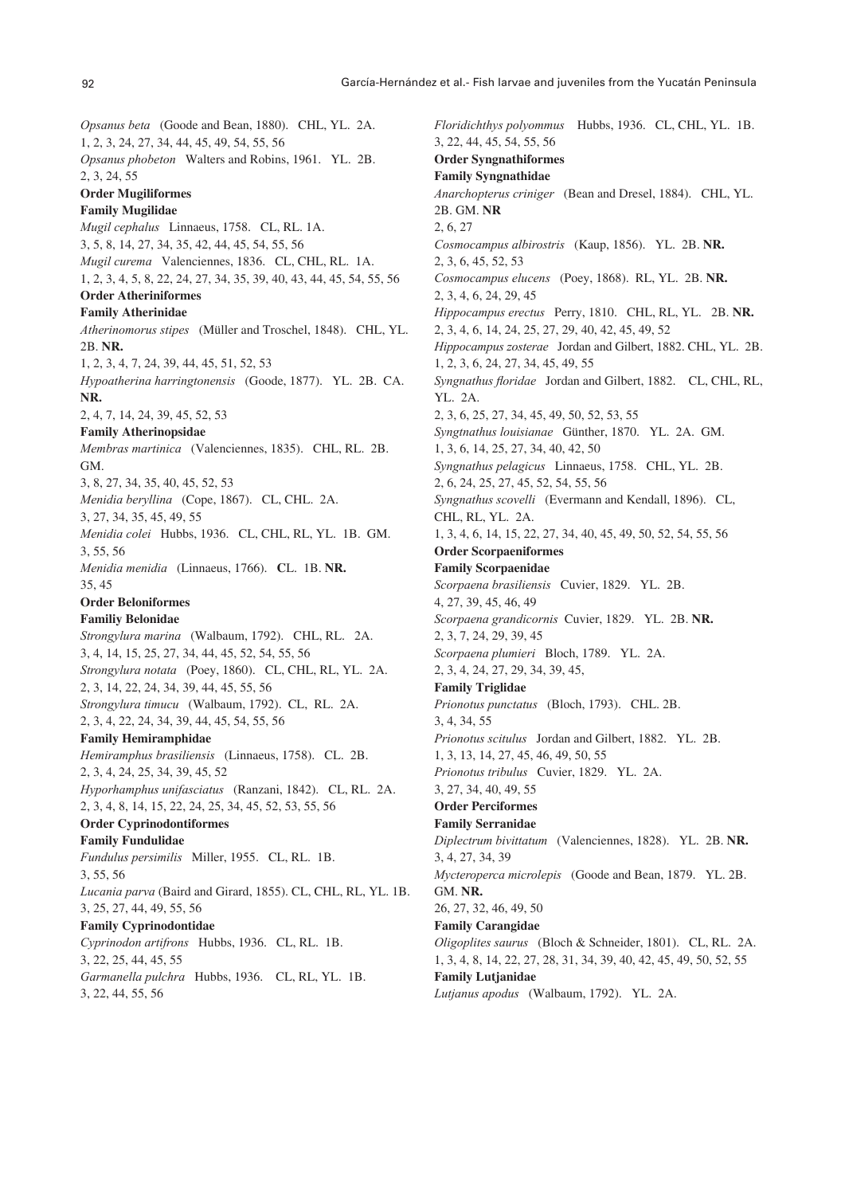*Opsanus beta* (Goode and Bean, 1880). CHL, YL. 2A. 1, 2, 3, 24, 27, 34, 44, 45, 49, 54, 55, 56 *Opsanus phobeton* Walters and Robins, 1961. YL. 2B. 2, 3, 24, 55 **Order Mugiliformes Family Mugilidae** *Mugil cephalus* Linnaeus, 1758. CL, RL. 1A. 3, 5, 8, 14, 27, 34, 35, 42, 44, 45, 54, 55, 56 *Mugil curema* Valenciennes, 1836. CL, CHL, RL. 1A. 1, 2, 3, 4, 5, 8, 22, 24, 27, 34, 35, 39, 40, 43, 44, 45, 54, 55, 56 **Order Atheriniformes Family Atherinidae** *Atherinomorus stipes* (Müller and Troschel, 1848). CHL, YL. 2B. **NR.** 1, 2, 3, 4, 7, 24, 39, 44, 45, 51, 52, 53 *Hypoatherina harringtonensis* (Goode, 1877). YL. 2B. CA. **NR.** 2, 4, 7, 14, 24, 39, 45, 52, 53 **Family Atherinopsidae** *Membras martinica* (Valenciennes, 1835). CHL, RL. 2B. GM. 3, 8, 27, 34, 35, 40, 45, 52, 53 *Menidia beryllina* (Cope, 1867). CL, CHL. 2A. 3, 27, 34, 35, 45, 49, 55 *Menidia colei* Hubbs, 1936. CL, CHL, RL, YL. 1B. GM. 3, 55, 56 *Menidia menidia* (Linnaeus, 1766). **C**L. 1B. **NR.** 35, 45 **Order Beloniformes Familiy Belonidae** *Strongylura marina* (Walbaum, 1792). CHL, RL. 2A. 3, 4, 14, 15, 25, 27, 34, 44, 45, 52, 54, 55, 56 *Strongylura notata* (Poey, 1860). CL, CHL, RL, YL. 2A. 2, 3, 14, 22, 24, 34, 39, 44, 45, 55, 56 *Strongylura timucu* (Walbaum, 1792). CL, RL. 2A. 2, 3, 4, 22, 24, 34, 39, 44, 45, 54, 55, 56 **Family Hemiramphidae** *Hemiramphus brasiliensis* (Linnaeus, 1758). CL. 2B. 2, 3, 4, 24, 25, 34, 39, 45, 52 *Hyporhamphus unifasciatus* (Ranzani, 1842). CL, RL. 2A. 2, 3, 4, 8, 14, 15, 22, 24, 25, 34, 45, 52, 53, 55, 56 **Order Cyprinodontiformes Family Fundulidae** *Fundulus persimilis* Miller, 1955. CL, RL. 1B. 3, 55, 56 *Lucania parva* (Baird and Girard, 1855). CL, CHL, RL, YL. 1B. 3, 25, 27, 44, 49, 55, 56 **Family Cyprinodontidae** *Cyprinodon artifrons* Hubbs, 1936. CL, RL. 1B. 3, 22, 25, 44, 45, 55 *Garmanella pulchra* Hubbs, 1936. CL, RL, YL. 1B. 3, 22, 44, 55, 56

*Floridichthys polyommus* Hubbs, 1936. CL, CHL, YL. 1B. 3, 22, 44, 45, 54, 55, 56 **Order Syngnathiformes Family Syngnathidae** *Anarchopterus criniger* (Bean and Dresel, 1884). CHL, YL. 2B. GM. **NR** 2, 6, 27 *Cosmocampus albirostris* (Kaup, 1856). YL. 2B. **NR.** 2, 3, 6, 45, 52, 53 *Cosmocampus elucens* (Poey, 1868). RL, YL. 2B. **NR.** 2, 3, 4, 6, 24, 29, 45 *Hippocampus erectus* Perry, 1810. CHL, RL, YL. 2B. **NR.** 2, 3, 4, 6, 14, 24, 25, 27, 29, 40, 42, 45, 49, 52 *Hippocampus zosterae* Jordan and Gilbert, 1882. CHL, YL. 2B. 1, 2, 3, 6, 24, 27, 34, 45, 49, 55 *Syngnathus floridae* Jordan and Gilbert, 1882. CL, CHL, RL, YL. 2A. 2, 3, 6, 25, 27, 34, 45, 49, 50, 52, 53, 55 *Syngtnathus louisianae* Günther, 1870. YL. 2A. GM. 1, 3, 6, 14, 25, 27, 34, 40, 42, 50 *Syngnathus pelagicus* Linnaeus, 1758. CHL, YL. 2B. 2, 6, 24, 25, 27, 45, 52, 54, 55, 56 *Syngnathus scovelli* (Evermann and Kendall, 1896). CL, CHL, RL, YL. 2A. 1, 3, 4, 6, 14, 15, 22, 27, 34, 40, 45, 49, 50, 52, 54, 55, 56 **Order Scorpaeniformes Family Scorpaenidae** *Scorpaena brasiliensis* Cuvier, 1829. YL.2B. 4, 27, 39, 45, 46, 49 *Scorpaena grandicornis* Cuvier, 1829. YL. 2B. **NR.** 2, 3, 7, 24, 29, 39, 45 *Scorpaena plumieri* Bloch, 1789. YL. 2A. 2, 3, 4, 24, 27, 29, 34, 39, 45, **Family Triglidae** *Prionotus punctatus* (Bloch, 1793). CHL. 2B. 3, 4, 34, 55 *Prionotus scitulus* Jordan and Gilbert, 1882. YL.2B. 1, 3, 13, 14, 27, 45, 46, 49, 50, 55 *Prionotus tribulus* Cuvier, 1829. YL.2A. 3, 27, 34, 40, 49, 55 **Order Perciformes Family Serranidae** *Diplectrum bivittatum* (Valenciennes, 1828). YL. 2B. **NR.** 3, 4, 27, 34, 39 *Mycteroperca microlepis* (Goode and Bean, 1879. YL. 2B. GM. **NR.**  26, 27, 32, 46, 49, 50 **Family Carangidae** *Oligoplites saurus* (Bloch & Schneider, 1801). CL, RL.2A. 1, 3, 4, 8, 14, 22, 27, 28, 31, 34, 39, 40, 42, 45, 49, 50, 52, 55 **Family Lutjanidae** *Lutjanus apodus* (Walbaum, 1792). YL.2A.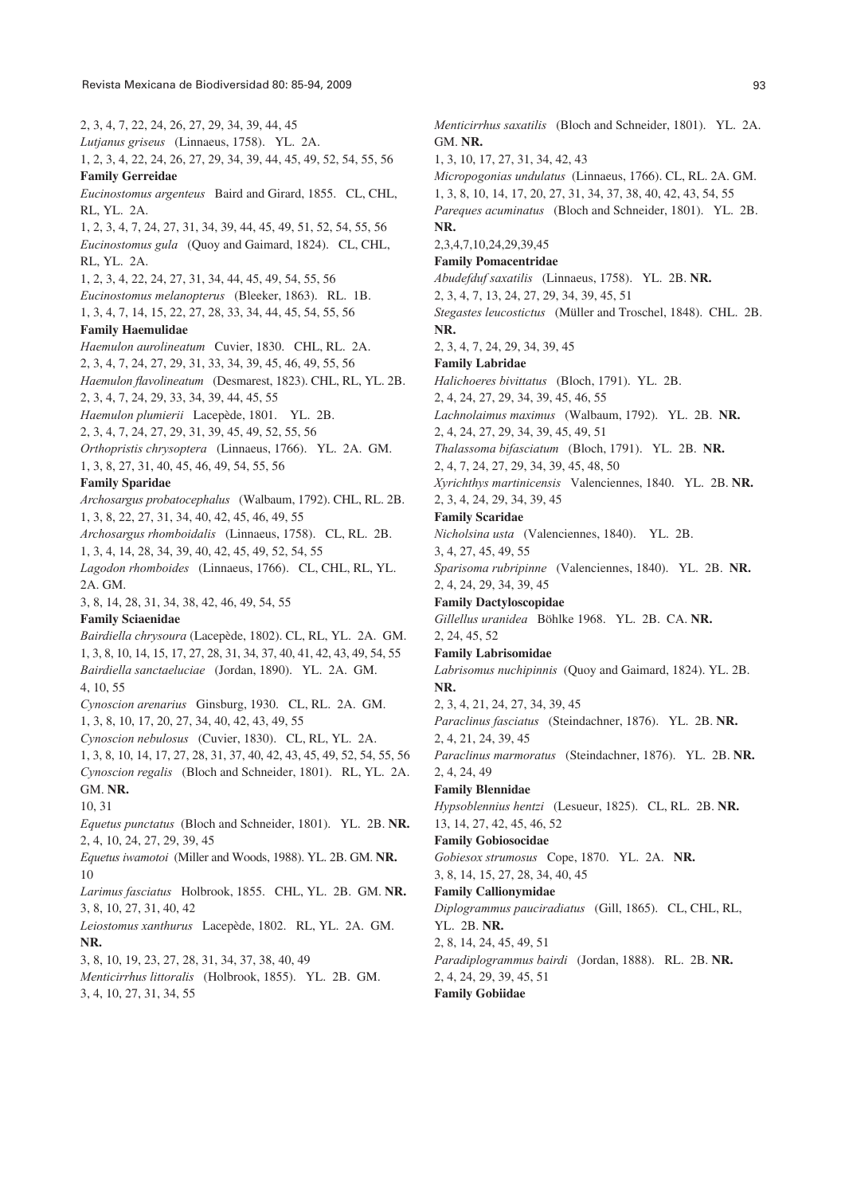2, 3, 4, 7, 22, 24, 26, 27, 29, 34, 39, 44, 45 *Lutjanus griseus* (Linnaeus, 1758). YL.2A. 1, 2, 3, 4, 22, 24, 26, 27, 29, 34, 39, 44, 45, 49, 52, 54, 55, 56 **Family Gerreidae** *Eucinostomus argenteus* Baird and Girard, 1855. CL, CHL, RL, YL.2A. 1, 2, 3, 4, 7, 24, 27, 31, 34, 39, 44, 45, 49, 51, 52, 54, 55, 56 *Eucinostomus gula* (Quoy and Gaimard, 1824). CL, CHL, RL, YL. 2A. 1, 2, 3, 4, 22, 24, 27, 31, 34, 44, 45, 49, 54, 55, 56 *Eucinostomus melanopterus* (Bleeker, 1863). RL.1B. 1, 3, 4, 7, 14, 15, 22, 27, 28, 33, 34, 44, 45, 54, 55, 56 **Family Haemulidae** *Haemulon aurolineatum* Cuvier, 1830. CHL, RL. 2A. 2, 3, 4, 7, 24, 27, 29, 31, 33, 34, 39, 45, 46, 49, 55, 56 *Haemulon flavolineatum* (Desmarest, 1823). CHL, RL, YL. 2B. 2, 3, 4, 7, 24, 29, 33, 34, 39, 44, 45, 55 *Haemulon plumierii* Lacepède, 1801. YL.2B. 2, 3, 4, 7, 24, 27, 29, 31, 39, 45, 49, 52, 55, 56 *Orthopristis chrysoptera* (Linnaeus, 1766). YL. 2A. GM. 1, 3, 8, 27, 31, 40, 45, 46, 49, 54, 55, 56 **Family Sparidae** *Archosargus probatocephalus* (Walbaum, 1792). CHL, RL. 2B. 1, 3, 8, 22, 27, 31, 34, 40, 42, 45, 46, 49, 55 *Archosargus rhomboidalis* (Linnaeus, 1758). CL, RL. 2B. 1, 3, 4, 14, 28, 34, 39, 40, 42, 45, 49, 52, 54, 55 *Lagodon rhomboides* (Linnaeus, 1766). CL, CHL, RL, YL. 2A. GM. 3, 8, 14, 28, 31, 34, 38, 42, 46, 49, 54, 55 **Family Sciaenidae** *Bairdiella chrysoura* (Lacepède, 1802). CL, RL, YL. 2A. GM. 1, 3, 8, 10, 14, 15, 17, 27, 28, 31, 34, 37, 40, 41, 42, 43, 49, 54, 55 *Bairdiella sanctaeluciae* (Jordan, 1890). YL. 2A. GM. 4, 10, 55 *Cynoscion arenarius* Ginsburg, 1930. CL, RL. 2A. GM. 1, 3, 8, 10, 17, 20, 27, 34, 40, 42, 43, 49, 55 *Cynoscion nebulosus* (Cuvier, 1830). CL, RL, YL. 2A. 1, 3, 8, 10, 14, 17, 27, 28, 31, 37, 40, 42, 43, 45, 49, 52, 54, 55, 56 *Cynoscion regalis* (Bloch and Schneider, 1801). RL, YL. 2A. GM. **NR.** 10, 31 *Equetus punctatus* (Bloch and Schneider, 1801). YL.2B. **NR.** 2, 4, 10, 24, 27, 29, 39, 45 *Equetus iwamotoi* (Miller and Woods, 1988). YL. 2B. GM. **NR.** 10 *Larimus fasciatus* Holbrook, 1855. CHL, YL. 2B. GM. **NR.** 3, 8, 10, 27, 31, 40, 42 *Leiostomus xanthurus* Lacepède, 1802. RL, YL. 2A. GM. **NR.** 3, 8, 10, 19, 23, 27, 28, 31, 34, 37, 38, 40, 49 *Menticirrhus littoralis* (Holbrook, 1855). YL. 2B. GM. 3, 4, 10, 27, 31, 34, 55

GM. **NR.** 1, 3, 10, 17, 27, 31, 34, 42, 43 *Micropogonias undulatus* (Linnaeus, 1766). CL, RL. 2A. GM. 1, 3, 8, 10, 14, 17, 20, 27, 31, 34, 37, 38, 40, 42, 43, 54, 55 *Pareques acuminatus* (Bloch and Schneider, 1801). YL. 2B. **NR.** 2,3,4,7,10,24,29,39,45 **Family Pomacentridae** *Abudefduf saxatilis* (Linnaeus, 1758). YL. 2B. **NR.** 2, 3, 4, 7, 13, 24, 27, 29, 34, 39, 45, 51 *Stegastes leucostictus* (Müller and Troschel, 1848). CHL.2B. **NR.** 2, 3, 4, 7, 24, 29, 34, 39, 45 **Family Labridae** *Halichoeres bivittatus* (Bloch, 1791). YL.2B. 2, 4, 24, 27, 29, 34, 39, 45, 46, 55 *Lachnolaimus maximus* (Walbaum, 1792). YL.2B. **NR.** 2, 4, 24, 27, 29, 34, 39, 45, 49, 51 *Thalassoma bifasciatum* (Bloch, 1791). YL.2B. **NR.** 2, 4, 7, 24, 27, 29, 34, 39, 45, 48, 50 *Xyrichthys martinicensis* Valenciennes, 1840. YL.2B. **NR.** 2, 3, 4, 24, 29, 34, 39, 45 **Family Scaridae** *Nicholsina usta* (Valenciennes, 1840). YL.2B. 3, 4, 27, 45, 49, 55 *Sparisoma rubripinne* (Valenciennes, 1840). YL. 2B. **NR.** 2, 4, 24, 29, 34, 39, 45 **Family Dactyloscopidae** *Gillellus uranidea* Böhlke 1968. YL. 2B. CA. **NR.** 2, 24, 45, 52 **Family Labrisomidae** *Labrisomus nuchipinnis* (Quoy and Gaimard, 1824). YL. 2B. **NR.** 2, 3, 4, 21, 24, 27, 34, 39, 45 *Paraclinus fasciatus* (Steindachner, 1876). YL.2B. **NR.** 2, 4, 21, 24, 39, 45 *Paraclinus marmoratus* (Steindachner, 1876). YL.2B. **NR.** 2, 4, 24, 49 **Family Blennidae** *Hypsoblennius hentzi* (Lesueur, 1825). CL, RL.2B. **NR.** 13, 14, 27, 42, 45, 46, 52 **Family Gobiosocidae**  *Gobiesox strumosus* Cope, 1870. YL. 2A. **NR.** 3, 8, 14, 15, 27, 28, 34, 40, 45 **Family Callionymidae** *Diplogrammus pauciradiatus* (Gill, 1865). CL, CHL, RL, YL.2B. **NR.** 2, 8, 14, 24, 45, 49, 51 *Paradiplogrammus bairdi* (Jordan, 1888). RL.2B. **NR.** 2, 4, 24, 29, 39, 45, 51

*Menticirrhus saxatilis* (Bloch and Schneider, 1801). YL. 2A.

**Family Gobiidae**